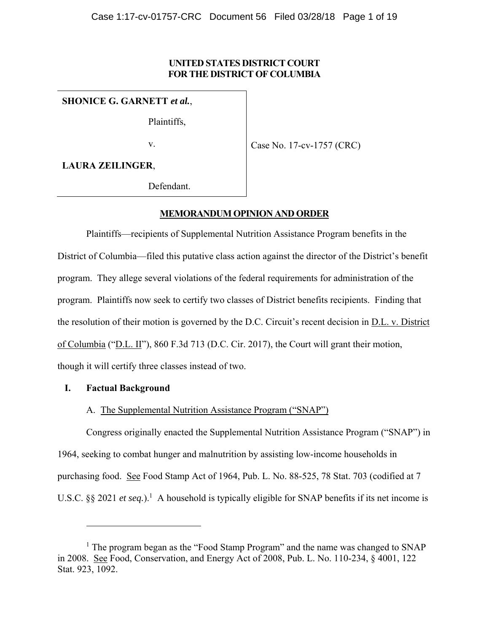# **UNITED STATES DISTRICT COURT FOR THE DISTRICT OF COLUMBIA**

**SHONICE G. GARNETT** *et al.*,

Plaintiffs,

v.

Case No. 17-cv-1757 (CRC)

**LAURA ZEILINGER**,

Defendant.

# **MEMORANDUM OPINION AND ORDER**

Plaintiffs—recipients of Supplemental Nutrition Assistance Program benefits in the District of Columbia—filed this putative class action against the director of the District's benefit program. They allege several violations of the federal requirements for administration of the program. Plaintiffs now seek to certify two classes of District benefits recipients. Finding that the resolution of their motion is governed by the D.C. Circuit's recent decision in D.L. v. District of Columbia ("D.L. II"), 860 F.3d 713 (D.C. Cir. 2017), the Court will grant their motion, though it will certify three classes instead of two.

# **I. Factual Background**

 $\overline{a}$ 

# A. The Supplemental Nutrition Assistance Program ("SNAP")

Congress originally enacted the Supplemental Nutrition Assistance Program ("SNAP") in 1964, seeking to combat hunger and malnutrition by assisting low-income households in purchasing food. See Food Stamp Act of 1964, Pub. L. No. 88-525, 78 Stat. 703 (codified at 7 U.S.C.  $\S$ § 2021 *et seq.*).<sup>1</sup> A household is typically eligible for SNAP benefits if its net income is

<sup>&</sup>lt;sup>1</sup> The program began as the "Food Stamp Program" and the name was changed to SNAP in 2008. See Food, Conservation, and Energy Act of 2008, Pub. L. No. 110-234, § 4001, 122 Stat. 923, 1092.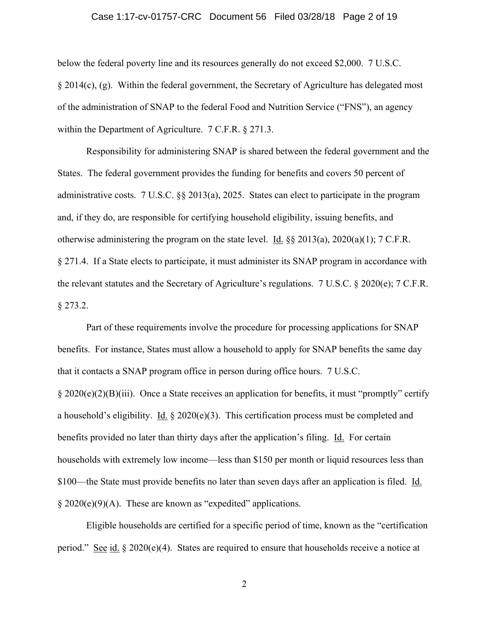#### Case 1:17-cv-01757-CRC Document 56 Filed 03/28/18 Page 2 of 19

below the federal poverty line and its resources generally do not exceed \$2,000. 7 U.S.C. § 2014(c), (g). Within the federal government, the Secretary of Agriculture has delegated most of the administration of SNAP to the federal Food and Nutrition Service ("FNS"), an agency within the Department of Agriculture. 7 C.F.R. § 271.3.

Responsibility for administering SNAP is shared between the federal government and the States. The federal government provides the funding for benefits and covers 50 percent of administrative costs. 7 U.S.C. §§ 2013(a), 2025. States can elect to participate in the program and, if they do, are responsible for certifying household eligibility, issuing benefits, and otherwise administering the program on the state level. Id. §§ 2013(a), 2020(a)(1); 7 C.F.R. § 271.4. If a State elects to participate, it must administer its SNAP program in accordance with the relevant statutes and the Secretary of Agriculture's regulations. 7 U.S.C. § 2020(e); 7 C.F.R.  $§$  273.2.

 Part of these requirements involve the procedure for processing applications for SNAP benefits. For instance, States must allow a household to apply for SNAP benefits the same day that it contacts a SNAP program office in person during office hours. 7 U.S.C. § 2020(e)(2)(B)(iii). Once a State receives an application for benefits, it must "promptly" certify a household's eligibility. Id.  $\S 2020(e)(3)$ . This certification process must be completed and benefits provided no later than thirty days after the application's filing. Id. For certain households with extremely low income—less than \$150 per month or liquid resources less than \$100—the State must provide benefits no later than seven days after an application is filed. Id.  $\S 2020(e)(9)(A)$ . These are known as "expedited" applications.

 Eligible households are certified for a specific period of time, known as the "certification period." See id. § 2020(e)(4). States are required to ensure that households receive a notice at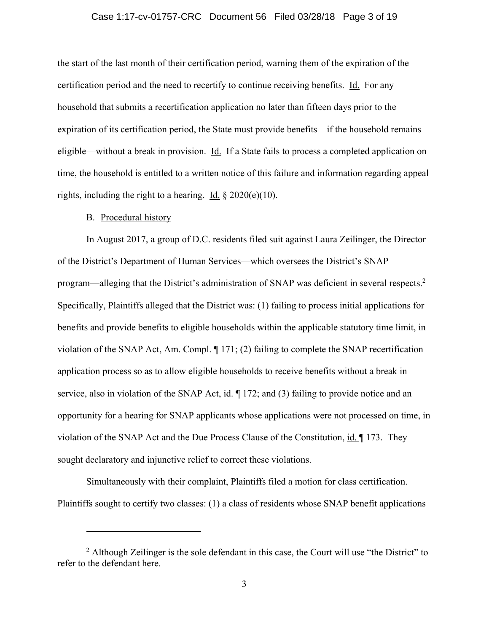#### Case 1:17-cv-01757-CRC Document 56 Filed 03/28/18 Page 3 of 19

the start of the last month of their certification period, warning them of the expiration of the certification period and the need to recertify to continue receiving benefits. Id. For any household that submits a recertification application no later than fifteen days prior to the expiration of its certification period, the State must provide benefits—if the household remains eligible—without a break in provision. Id. If a State fails to process a completed application on time, the household is entitled to a written notice of this failure and information regarding appeal rights, including the right to a hearing. Id.  $\S 2020(e)(10)$ .

#### B. Procedural history

 $\overline{a}$ 

In August 2017, a group of D.C. residents filed suit against Laura Zeilinger, the Director of the District's Department of Human Services—which oversees the District's SNAP program—alleging that the District's administration of SNAP was deficient in several respects.<sup>2</sup> Specifically, Plaintiffs alleged that the District was: (1) failing to process initial applications for benefits and provide benefits to eligible households within the applicable statutory time limit, in violation of the SNAP Act, Am. Compl. ¶ 171; (2) failing to complete the SNAP recertification application process so as to allow eligible households to receive benefits without a break in service, also in violation of the SNAP Act, id.  $\parallel$  172; and (3) failing to provide notice and an opportunity for a hearing for SNAP applicants whose applications were not processed on time, in violation of the SNAP Act and the Due Process Clause of the Constitution, id. ¶ 173. They sought declaratory and injunctive relief to correct these violations.

Simultaneously with their complaint, Plaintiffs filed a motion for class certification. Plaintiffs sought to certify two classes: (1) a class of residents whose SNAP benefit applications

 $2$  Although Zeilinger is the sole defendant in this case, the Court will use "the District" to refer to the defendant here.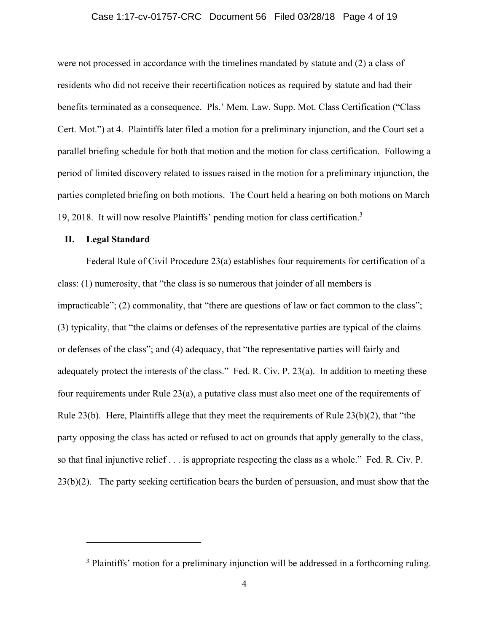#### Case 1:17-cv-01757-CRC Document 56 Filed 03/28/18 Page 4 of 19

were not processed in accordance with the timelines mandated by statute and (2) a class of residents who did not receive their recertification notices as required by statute and had their benefits terminated as a consequence. Pls.' Mem. Law. Supp. Mot. Class Certification ("Class Cert. Mot.") at 4. Plaintiffs later filed a motion for a preliminary injunction, and the Court set a parallel briefing schedule for both that motion and the motion for class certification. Following a period of limited discovery related to issues raised in the motion for a preliminary injunction, the parties completed briefing on both motions. The Court held a hearing on both motions on March 19, 2018. It will now resolve Plaintiffs' pending motion for class certification.3

### **II. Legal Standard**

 $\overline{a}$ 

Federal Rule of Civil Procedure 23(a) establishes four requirements for certification of a class: (1) numerosity, that "the class is so numerous that joinder of all members is impracticable"; (2) commonality, that "there are questions of law or fact common to the class"; (3) typicality, that "the claims or defenses of the representative parties are typical of the claims or defenses of the class"; and (4) adequacy, that "the representative parties will fairly and adequately protect the interests of the class." Fed. R. Civ. P. 23(a). In addition to meeting these four requirements under Rule 23(a), a putative class must also meet one of the requirements of Rule 23(b). Here, Plaintiffs allege that they meet the requirements of Rule 23(b)(2), that "the party opposing the class has acted or refused to act on grounds that apply generally to the class, so that final injunctive relief . . . is appropriate respecting the class as a whole." Fed. R. Civ. P. 23(b)(2). The party seeking certification bears the burden of persuasion, and must show that the

<sup>&</sup>lt;sup>3</sup> Plaintiffs' motion for a preliminary injunction will be addressed in a forthcoming ruling.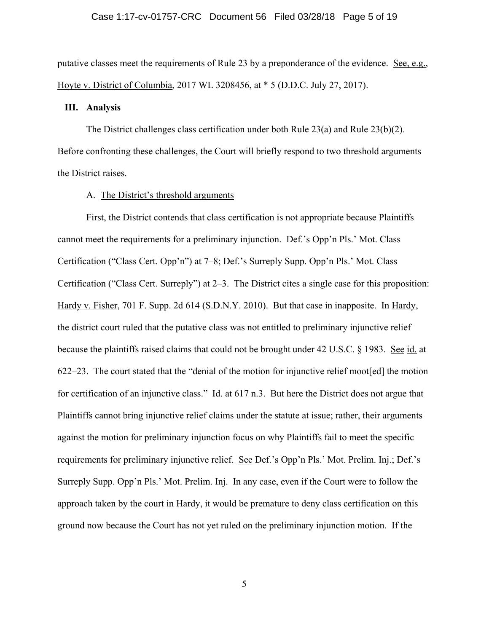putative classes meet the requirements of Rule 23 by a preponderance of the evidence. See, e.g., Hoyte v. District of Columbia, 2017 WL 3208456, at \* 5 (D.D.C. July 27, 2017).

### **III. Analysis**

The District challenges class certification under both Rule  $23(a)$  and Rule  $23(b)(2)$ . Before confronting these challenges, the Court will briefly respond to two threshold arguments the District raises.

## A. The District's threshold arguments

First, the District contends that class certification is not appropriate because Plaintiffs cannot meet the requirements for a preliminary injunction. Def.'s Opp'n Pls.' Mot. Class Certification ("Class Cert. Opp'n") at 7–8; Def.'s Surreply Supp. Opp'n Pls.' Mot. Class Certification ("Class Cert. Surreply") at 2–3. The District cites a single case for this proposition: Hardy v. Fisher, 701 F. Supp. 2d 614 (S.D.N.Y. 2010). But that case in inapposite. In Hardy, the district court ruled that the putative class was not entitled to preliminary injunctive relief because the plaintiffs raised claims that could not be brought under 42 U.S.C. § 1983. See id. at 622–23. The court stated that the "denial of the motion for injunctive relief moot[ed] the motion for certification of an injunctive class." Id. at 617 n.3. But here the District does not argue that Plaintiffs cannot bring injunctive relief claims under the statute at issue; rather, their arguments against the motion for preliminary injunction focus on why Plaintiffs fail to meet the specific requirements for preliminary injunctive relief. See Def.'s Opp'n Pls.' Mot. Prelim. Inj.; Def.'s Surreply Supp. Opp'n Pls.' Mot. Prelim. Inj. In any case, even if the Court were to follow the approach taken by the court in Hardy, it would be premature to deny class certification on this ground now because the Court has not yet ruled on the preliminary injunction motion. If the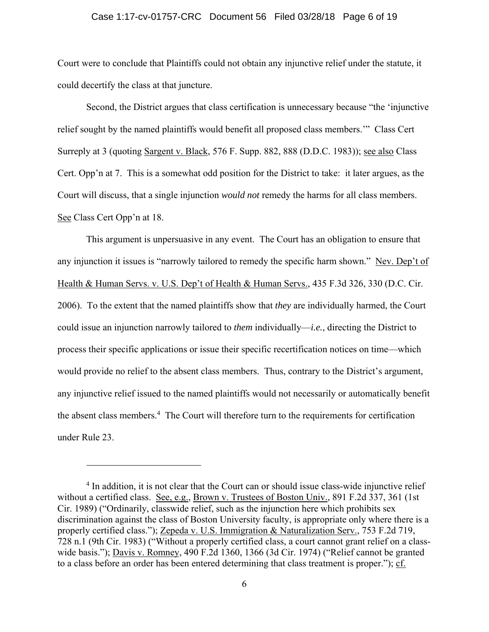#### Case 1:17-cv-01757-CRC Document 56 Filed 03/28/18 Page 6 of 19

Court were to conclude that Plaintiffs could not obtain any injunctive relief under the statute, it could decertify the class at that juncture.

Second, the District argues that class certification is unnecessary because "the 'injunctive relief sought by the named plaintiffs would benefit all proposed class members.'" Class Cert Surreply at 3 (quoting Sargent v. Black, 576 F. Supp. 882, 888 (D.D.C. 1983)); see also Class Cert. Opp'n at 7. This is a somewhat odd position for the District to take: it later argues, as the Court will discuss, that a single injunction *would not* remedy the harms for all class members. See Class Cert Opp'n at 18.

This argument is unpersuasive in any event. The Court has an obligation to ensure that any injunction it issues is "narrowly tailored to remedy the specific harm shown." Nev. Dep't of Health & Human Servs. v. U.S. Dep't of Health & Human Servs., 435 F.3d 326, 330 (D.C. Cir. 2006). To the extent that the named plaintiffs show that *they* are individually harmed, the Court could issue an injunction narrowly tailored to *them* individually—*i.e.*, directing the District to process their specific applications or issue their specific recertification notices on time—which would provide no relief to the absent class members. Thus, contrary to the District's argument, any injunctive relief issued to the named plaintiffs would not necessarily or automatically benefit the absent class members.<sup>4</sup> The Court will therefore turn to the requirements for certification under Rule 23.

<sup>&</sup>lt;sup>4</sup> In addition, it is not clear that the Court can or should issue class-wide injunctive relief without a certified class. See, e.g., Brown v. Trustees of Boston Univ., 891 F.2d 337, 361 (1st Cir. 1989) ("Ordinarily, classwide relief, such as the injunction here which prohibits sex discrimination against the class of Boston University faculty, is appropriate only where there is a properly certified class."); Zepeda v. U.S. Immigration & Naturalization Serv., 753 F.2d 719, 728 n.1 (9th Cir. 1983) ("Without a properly certified class, a court cannot grant relief on a classwide basis."); Davis v. Romney, 490 F.2d 1360, 1366 (3d Cir. 1974) ("Relief cannot be granted to a class before an order has been entered determining that class treatment is proper."); cf.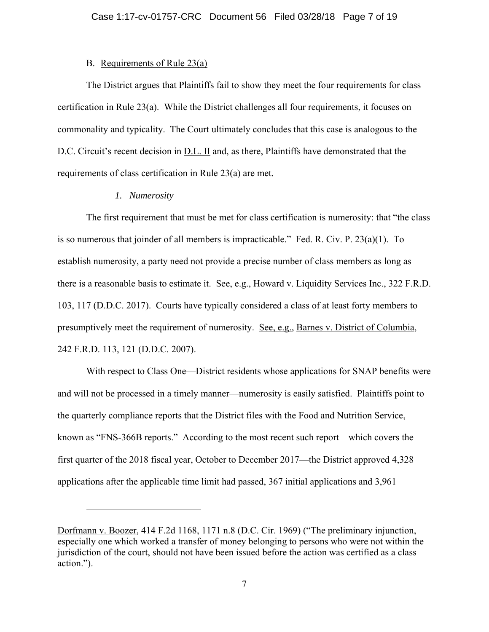## B. Requirements of Rule 23(a)

The District argues that Plaintiffs fail to show they meet the four requirements for class certification in Rule 23(a). While the District challenges all four requirements, it focuses on commonality and typicality. The Court ultimately concludes that this case is analogous to the D.C. Circuit's recent decision in D.L. II and, as there, Plaintiffs have demonstrated that the requirements of class certification in Rule 23(a) are met.

## *1. Numerosity*

1

The first requirement that must be met for class certification is numerosity: that "the class is so numerous that joinder of all members is impracticable." Fed. R. Civ. P. 23(a)(1). To establish numerosity, a party need not provide a precise number of class members as long as there is a reasonable basis to estimate it. See, e.g., Howard v. Liquidity Services Inc., 322 F.R.D. 103, 117 (D.D.C. 2017). Courts have typically considered a class of at least forty members to presumptively meet the requirement of numerosity. See, e.g., Barnes v. District of Columbia, 242 F.R.D. 113, 121 (D.D.C. 2007).

With respect to Class One—District residents whose applications for SNAP benefits were and will not be processed in a timely manner—numerosity is easily satisfied. Plaintiffs point to the quarterly compliance reports that the District files with the Food and Nutrition Service, known as "FNS-366B reports." According to the most recent such report—which covers the first quarter of the 2018 fiscal year, October to December 2017—the District approved 4,328 applications after the applicable time limit had passed, 367 initial applications and 3,961

Dorfmann v. Boozer, 414 F.2d 1168, 1171 n.8 (D.C. Cir. 1969) ("The preliminary injunction, especially one which worked a transfer of money belonging to persons who were not within the jurisdiction of the court, should not have been issued before the action was certified as a class action.").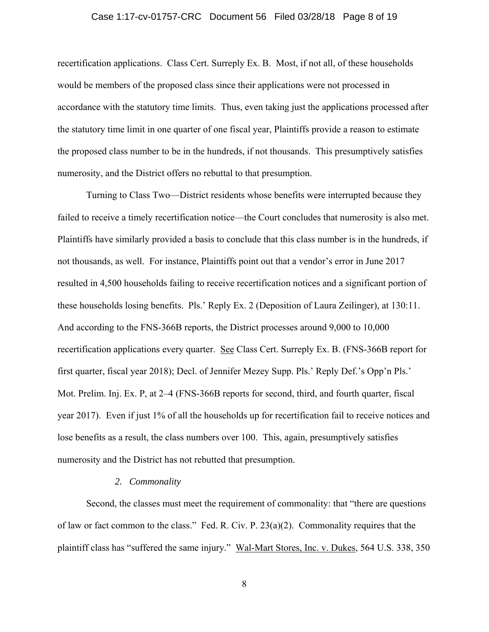#### Case 1:17-cv-01757-CRC Document 56 Filed 03/28/18 Page 8 of 19

recertification applications. Class Cert. Surreply Ex. B. Most, if not all, of these households would be members of the proposed class since their applications were not processed in accordance with the statutory time limits. Thus, even taking just the applications processed after the statutory time limit in one quarter of one fiscal year, Plaintiffs provide a reason to estimate the proposed class number to be in the hundreds, if not thousands. This presumptively satisfies numerosity, and the District offers no rebuttal to that presumption.

Turning to Class Two—District residents whose benefits were interrupted because they failed to receive a timely recertification notice—the Court concludes that numerosity is also met. Plaintiffs have similarly provided a basis to conclude that this class number is in the hundreds, if not thousands, as well. For instance, Plaintiffs point out that a vendor's error in June 2017 resulted in 4,500 households failing to receive recertification notices and a significant portion of these households losing benefits. Pls.' Reply Ex. 2 (Deposition of Laura Zeilinger), at 130:11. And according to the FNS-366B reports, the District processes around 9,000 to 10,000 recertification applications every quarter. See Class Cert. Surreply Ex. B. (FNS-366B report for first quarter, fiscal year 2018); Decl. of Jennifer Mezey Supp. Pls.' Reply Def.'s Opp'n Pls.' Mot. Prelim. Inj. Ex. P, at 2–4 (FNS-366B reports for second, third, and fourth quarter, fiscal year 2017). Even if just 1% of all the households up for recertification fail to receive notices and lose benefits as a result, the class numbers over 100. This, again, presumptively satisfies numerosity and the District has not rebutted that presumption.

#### *2. Commonality*

Second, the classes must meet the requirement of commonality: that "there are questions of law or fact common to the class." Fed. R. Civ. P. 23(a)(2). Commonality requires that the plaintiff class has "suffered the same injury." Wal-Mart Stores, Inc. v. Dukes, 564 U.S. 338, 350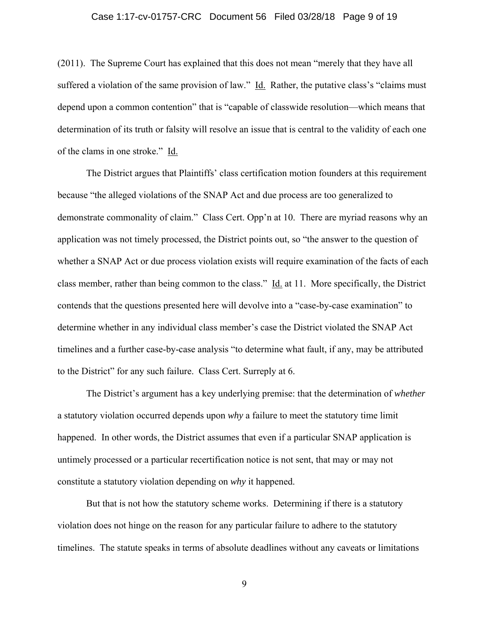#### Case 1:17-cv-01757-CRC Document 56 Filed 03/28/18 Page 9 of 19

(2011). The Supreme Court has explained that this does not mean "merely that they have all suffered a violation of the same provision of law." Id. Rather, the putative class's "claims must depend upon a common contention" that is "capable of classwide resolution—which means that determination of its truth or falsity will resolve an issue that is central to the validity of each one of the clams in one stroke." Id.

The District argues that Plaintiffs' class certification motion founders at this requirement because "the alleged violations of the SNAP Act and due process are too generalized to demonstrate commonality of claim." Class Cert. Opp'n at 10. There are myriad reasons why an application was not timely processed, the District points out, so "the answer to the question of whether a SNAP Act or due process violation exists will require examination of the facts of each class member, rather than being common to the class." Id. at 11. More specifically, the District contends that the questions presented here will devolve into a "case-by-case examination" to determine whether in any individual class member's case the District violated the SNAP Act timelines and a further case-by-case analysis "to determine what fault, if any, may be attributed to the District" for any such failure. Class Cert. Surreply at 6.

The District's argument has a key underlying premise: that the determination of *whether*  a statutory violation occurred depends upon *why* a failure to meet the statutory time limit happened. In other words, the District assumes that even if a particular SNAP application is untimely processed or a particular recertification notice is not sent, that may or may not constitute a statutory violation depending on *why* it happened.

But that is not how the statutory scheme works. Determining if there is a statutory violation does not hinge on the reason for any particular failure to adhere to the statutory timelines. The statute speaks in terms of absolute deadlines without any caveats or limitations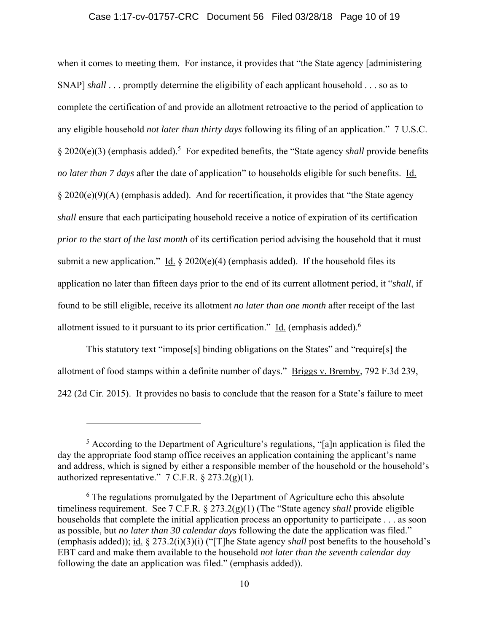#### Case 1:17-cv-01757-CRC Document 56 Filed 03/28/18 Page 10 of 19

when it comes to meeting them. For instance, it provides that "the State agency [administering SNAP] *shall* . . . promptly determine the eligibility of each applicant household . . . so as to complete the certification of and provide an allotment retroactive to the period of application to any eligible household *not later than thirty days* following its filing of an application." 7 U.S.C. § 2020(e)(3) (emphasis added).<sup>5</sup> For expedited benefits, the "State agency *shall* provide benefits *no later than 7 days* after the date of application" to households eligible for such benefits. Id. § 2020(e)(9)(A) (emphasis added). And for recertification, it provides that "the State agency *shall* ensure that each participating household receive a notice of expiration of its certification *prior to the start of the last month* of its certification period advising the household that it must submit a new application." Id.  $\S 2020(e)(4)$  (emphasis added). If the household files its application no later than fifteen days prior to the end of its current allotment period, it "*shall*, if found to be still eligible, receive its allotment *no later than one month* after receipt of the last allotment issued to it pursuant to its prior certification." Id. (emphasis added).<sup>6</sup>

This statutory text "impose[s] binding obligations on the States" and "require[s] the allotment of food stamps within a definite number of days." Briggs v. Bremby, 792 F.3d 239, 242 (2d Cir. 2015). It provides no basis to conclude that the reason for a State's failure to meet

 $\overline{a}$ 

<sup>&</sup>lt;sup>5</sup> According to the Department of Agriculture's regulations, "[a]n application is filed the day the appropriate food stamp office receives an application containing the applicant's name and address, which is signed by either a responsible member of the household or the household's authorized representative."  $7 \text{ C.F.R. } § 273.2(g)(1)$ .

<sup>&</sup>lt;sup>6</sup> The regulations promulgated by the Department of Agriculture echo this absolute timeliness requirement. See 7 C.F.R. § 273.2(g)(1) (The "State agency *shall* provide eligible households that complete the initial application process an opportunity to participate . . . as soon as possible, but *no later than 30 calendar days* following the date the application was filed." (emphasis added)); id. § 273.2(i)(3)(i) ("[T]he State agency *shall* post benefits to the household's EBT card and make them available to the household *not later than the seventh calendar day* following the date an application was filed." (emphasis added)).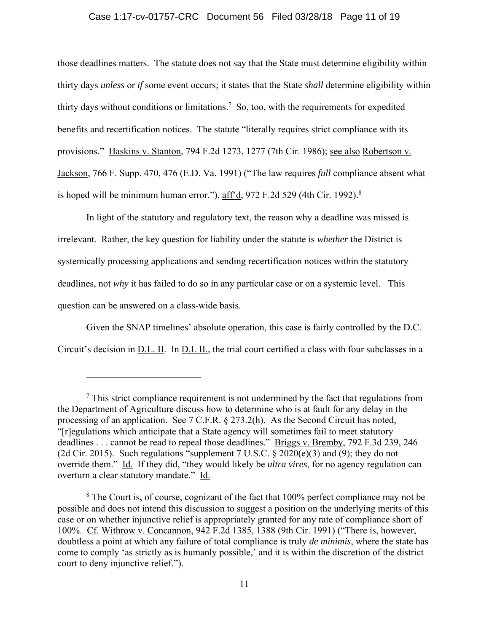#### Case 1:17-cv-01757-CRC Document 56 Filed 03/28/18 Page 11 of 19

those deadlines matters. The statute does not say that the State must determine eligibility within thirty days *unless* or *if* some event occurs; it states that the State *shall* determine eligibility within thirty days without conditions or limitations.<sup>7</sup> So, too, with the requirements for expedited benefits and recertification notices. The statute "literally requires strict compliance with its provisions." Haskins v. Stanton, 794 F.2d 1273, 1277 (7th Cir. 1986); see also Robertson v. Jackson, 766 F. Supp. 470, 476 (E.D. Va. 1991) ("The law requires *full* compliance absent what is hoped will be minimum human error."),  $\frac{\text{aff'}d}{\text{aff'}}$ , 972 F.2d 529 (4th Cir. 1992).<sup>8</sup>

In light of the statutory and regulatory text, the reason why a deadline was missed is irrelevant. Rather, the key question for liability under the statute is *whether* the District is systemically processing applications and sending recertification notices within the statutory deadlines, not *why* it has failed to do so in any particular case or on a systemic level. This question can be answered on a class-wide basis.

Given the SNAP timelines' absolute operation, this case is fairly controlled by the D.C. Circuit's decision in D.L. II. In D.L II., the trial court certified a class with four subclasses in a

 $\overline{a}$ 

 $<sup>7</sup>$  This strict compliance requirement is not undermined by the fact that regulations from</sup> the Department of Agriculture discuss how to determine who is at fault for any delay in the processing of an application. See 7 C.F.R. § 273.2(h). As the Second Circuit has noted, "[r]egulations which anticipate that a State agency will sometimes fail to meet statutory deadlines . . . cannot be read to repeal those deadlines." Briggs v. Bremby, 792 F.3d 239, 246 (2d Cir. 2015). Such regulations "supplement  $7 \text{ U.S.C.}$  § 2020(e)(3) and (9); they do not override them." Id. If they did, "they would likely be *ultra vires*, for no agency regulation can overturn a clear statutory mandate." Id.

<sup>&</sup>lt;sup>8</sup> The Court is, of course, cognizant of the fact that 100% perfect compliance may not be possible and does not intend this discussion to suggest a position on the underlying merits of this case or on whether injunctive relief is appropriately granted for any rate of compliance short of 100%. Cf. Withrow v. Concannon, 942 F.2d 1385, 1388 (9th Cir. 1991) ("There is, however, doubtless a point at which any failure of total compliance is truly *de minimis*, where the state has come to comply 'as strictly as is humanly possible,' and it is within the discretion of the district court to deny injunctive relief.").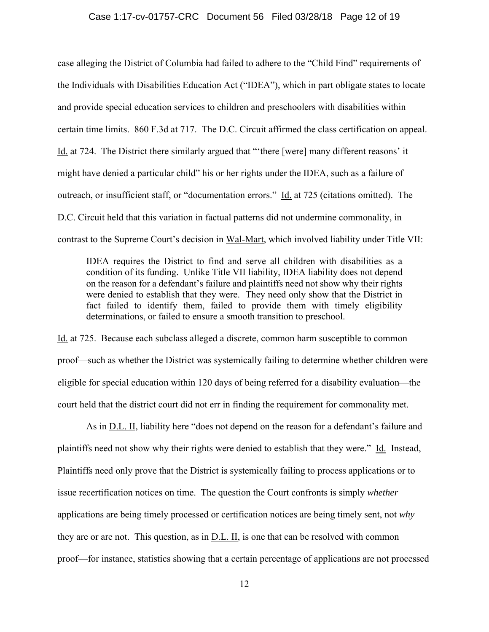#### Case 1:17-cv-01757-CRC Document 56 Filed 03/28/18 Page 12 of 19

case alleging the District of Columbia had failed to adhere to the "Child Find" requirements of the Individuals with Disabilities Education Act ("IDEA"), which in part obligate states to locate and provide special education services to children and preschoolers with disabilities within certain time limits. 860 F.3d at 717. The D.C. Circuit affirmed the class certification on appeal. Id. at 724. The District there similarly argued that "'there [were] many different reasons' it might have denied a particular child" his or her rights under the IDEA, such as a failure of outreach, or insufficient staff, or "documentation errors." Id. at 725 (citations omitted). The D.C. Circuit held that this variation in factual patterns did not undermine commonality, in contrast to the Supreme Court's decision in Wal-Mart, which involved liability under Title VII:

IDEA requires the District to find and serve all children with disabilities as a condition of its funding. Unlike Title VII liability, IDEA liability does not depend on the reason for a defendant's failure and plaintiffs need not show why their rights were denied to establish that they were. They need only show that the District in fact failed to identify them, failed to provide them with timely eligibility determinations, or failed to ensure a smooth transition to preschool.

Id. at 725. Because each subclass alleged a discrete, common harm susceptible to common proof—such as whether the District was systemically failing to determine whether children were eligible for special education within 120 days of being referred for a disability evaluation—the court held that the district court did not err in finding the requirement for commonality met.

As in D.L. II, liability here "does not depend on the reason for a defendant's failure and plaintiffs need not show why their rights were denied to establish that they were." Id. Instead, Plaintiffs need only prove that the District is systemically failing to process applications or to issue recertification notices on time. The question the Court confronts is simply *whether* applications are being timely processed or certification notices are being timely sent, not *why* they are or are not. This question, as in D.L. II, is one that can be resolved with common proof—for instance, statistics showing that a certain percentage of applications are not processed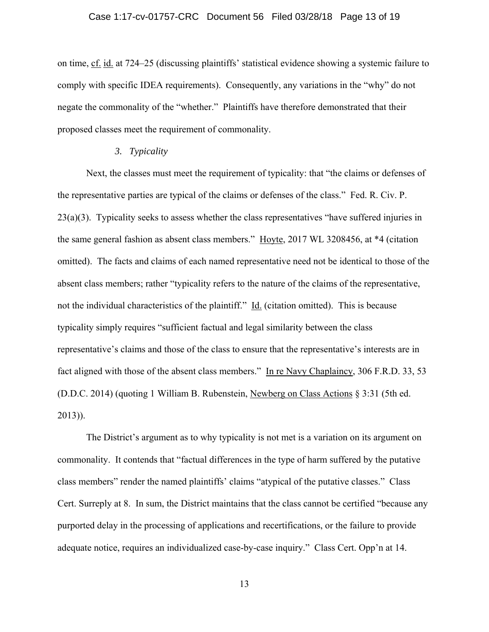on time, cf. id. at 724–25 (discussing plaintiffs' statistical evidence showing a systemic failure to comply with specific IDEA requirements). Consequently, any variations in the "why" do not negate the commonality of the "whether." Plaintiffs have therefore demonstrated that their proposed classes meet the requirement of commonality.

## *3. Typicality*

Next, the classes must meet the requirement of typicality: that "the claims or defenses of the representative parties are typical of the claims or defenses of the class." Fed. R. Civ. P. 23(a)(3). Typicality seeks to assess whether the class representatives "have suffered injuries in the same general fashion as absent class members." Hoyte, 2017 WL 3208456, at \*4 (citation omitted). The facts and claims of each named representative need not be identical to those of the absent class members; rather "typicality refers to the nature of the claims of the representative, not the individual characteristics of the plaintiff." Id. (citation omitted). This is because typicality simply requires "sufficient factual and legal similarity between the class representative's claims and those of the class to ensure that the representative's interests are in fact aligned with those of the absent class members." In re Navy Chaplaincy, 306 F.R.D. 33, 53 (D.D.C. 2014) (quoting 1 William B. Rubenstein, Newberg on Class Actions § 3:31 (5th ed. 2013)).

The District's argument as to why typicality is not met is a variation on its argument on commonality. It contends that "factual differences in the type of harm suffered by the putative class members" render the named plaintiffs' claims "atypical of the putative classes." Class Cert. Surreply at 8. In sum, the District maintains that the class cannot be certified "because any purported delay in the processing of applications and recertifications, or the failure to provide adequate notice, requires an individualized case-by-case inquiry." Class Cert. Opp'n at 14.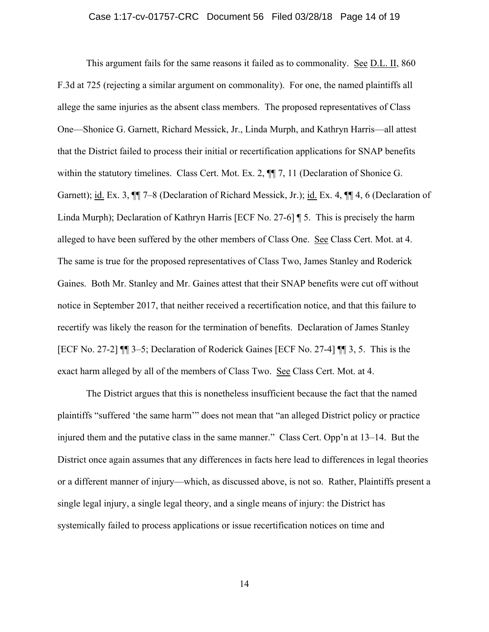#### Case 1:17-cv-01757-CRC Document 56 Filed 03/28/18 Page 14 of 19

This argument fails for the same reasons it failed as to commonality. See D.L. II, 860 F.3d at 725 (rejecting a similar argument on commonality). For one, the named plaintiffs all allege the same injuries as the absent class members. The proposed representatives of Class One—Shonice G. Garnett, Richard Messick, Jr., Linda Murph, and Kathryn Harris—all attest that the District failed to process their initial or recertification applications for SNAP benefits within the statutory timelines. Class Cert. Mot. Ex. 2,  $\P$ , 7, 11 (Declaration of Shonice G. Garnett); id. Ex. 3, ¶¶ 7–8 (Declaration of Richard Messick, Jr.); id. Ex. 4, ¶¶ 4, 6 (Declaration of Linda Murph); Declaration of Kathryn Harris [ECF No. 27-6] ¶ 5. This is precisely the harm alleged to have been suffered by the other members of Class One. See Class Cert. Mot. at 4. The same is true for the proposed representatives of Class Two, James Stanley and Roderick Gaines. Both Mr. Stanley and Mr. Gaines attest that their SNAP benefits were cut off without notice in September 2017, that neither received a recertification notice, and that this failure to recertify was likely the reason for the termination of benefits. Declaration of James Stanley [ECF No. 27-2] ¶¶ 3–5; Declaration of Roderick Gaines [ECF No. 27-4] ¶¶ 3, 5. This is the exact harm alleged by all of the members of Class Two. See Class Cert. Mot. at 4.

The District argues that this is nonetheless insufficient because the fact that the named plaintiffs "suffered 'the same harm'" does not mean that "an alleged District policy or practice injured them and the putative class in the same manner." Class Cert. Opp'n at 13–14. But the District once again assumes that any differences in facts here lead to differences in legal theories or a different manner of injury—which, as discussed above, is not so. Rather, Plaintiffs present a single legal injury, a single legal theory, and a single means of injury: the District has systemically failed to process applications or issue recertification notices on time and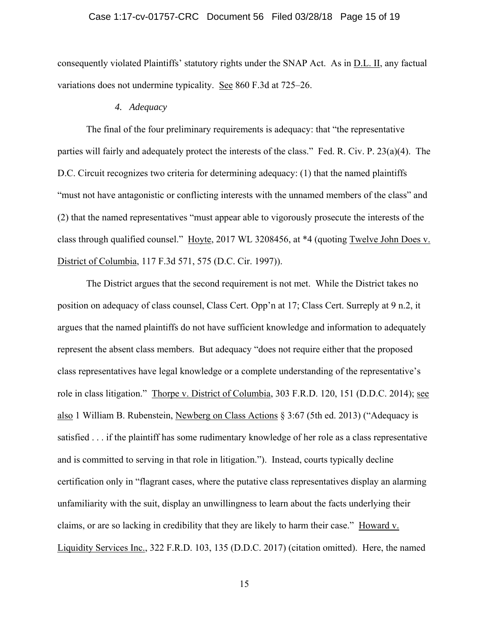#### Case 1:17-cv-01757-CRC Document 56 Filed 03/28/18 Page 15 of 19

consequently violated Plaintiffs' statutory rights under the SNAP Act. As in D.L. II, any factual variations does not undermine typicality. See 860 F.3d at 725–26.

### *4. Adequacy*

The final of the four preliminary requirements is adequacy: that "the representative parties will fairly and adequately protect the interests of the class." Fed. R. Civ. P. 23(a)(4). The D.C. Circuit recognizes two criteria for determining adequacy: (1) that the named plaintiffs "must not have antagonistic or conflicting interests with the unnamed members of the class" and (2) that the named representatives "must appear able to vigorously prosecute the interests of the class through qualified counsel." Hoyte, 2017 WL 3208456, at \*4 (quoting Twelve John Does v. District of Columbia, 117 F.3d 571, 575 (D.C. Cir. 1997)).

The District argues that the second requirement is not met. While the District takes no position on adequacy of class counsel, Class Cert. Opp'n at 17; Class Cert. Surreply at 9 n.2, it argues that the named plaintiffs do not have sufficient knowledge and information to adequately represent the absent class members. But adequacy "does not require either that the proposed class representatives have legal knowledge or a complete understanding of the representative's role in class litigation." Thorpe v. District of Columbia, 303 F.R.D. 120, 151 (D.D.C. 2014); see also 1 William B. Rubenstein, Newberg on Class Actions § 3:67 (5th ed. 2013) ("Adequacy is satisfied . . . if the plaintiff has some rudimentary knowledge of her role as a class representative and is committed to serving in that role in litigation."). Instead, courts typically decline certification only in "flagrant cases, where the putative class representatives display an alarming unfamiliarity with the suit, display an unwillingness to learn about the facts underlying their claims, or are so lacking in credibility that they are likely to harm their case." Howard v. Liquidity Services Inc., 322 F.R.D. 103, 135 (D.D.C. 2017) (citation omitted). Here, the named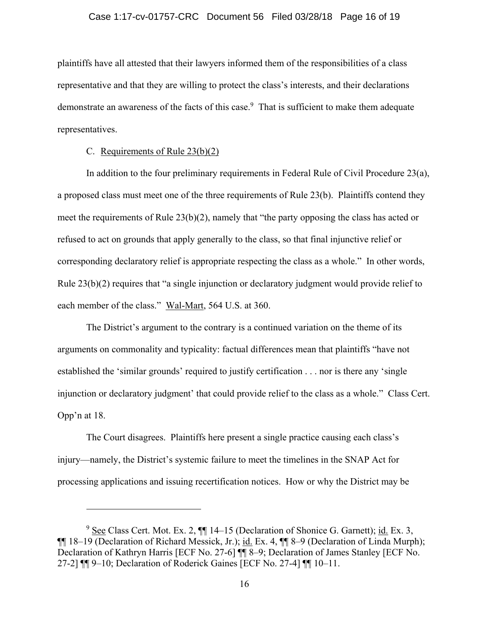#### Case 1:17-cv-01757-CRC Document 56 Filed 03/28/18 Page 16 of 19

plaintiffs have all attested that their lawyers informed them of the responsibilities of a class representative and that they are willing to protect the class's interests, and their declarations demonstrate an awareness of the facts of this case.<sup>9</sup> That is sufficient to make them adequate representatives.

# C. Requirements of Rule 23(b)(2)

 $\overline{a}$ 

In addition to the four preliminary requirements in Federal Rule of Civil Procedure 23(a), a proposed class must meet one of the three requirements of Rule 23(b). Plaintiffs contend they meet the requirements of Rule 23(b)(2), namely that "the party opposing the class has acted or refused to act on grounds that apply generally to the class, so that final injunctive relief or corresponding declaratory relief is appropriate respecting the class as a whole." In other words, Rule 23(b)(2) requires that "a single injunction or declaratory judgment would provide relief to each member of the class." Wal-Mart, 564 U.S. at 360.

The District's argument to the contrary is a continued variation on the theme of its arguments on commonality and typicality: factual differences mean that plaintiffs "have not established the 'similar grounds' required to justify certification . . . nor is there any 'single injunction or declaratory judgment' that could provide relief to the class as a whole." Class Cert. Opp'n at 18.

The Court disagrees. Plaintiffs here present a single practice causing each class's injury—namely, the District's systemic failure to meet the timelines in the SNAP Act for processing applications and issuing recertification notices. How or why the District may be

 $9 \text{ See } Class$  Cert. Mot. Ex. 2,  $\P\P$  14–15 (Declaration of Shonice G. Garnett); id. Ex. 3, ¶¶ 18–19 (Declaration of Richard Messick, Jr.); id. Ex. 4, ¶¶ 8–9 (Declaration of Linda Murph); Declaration of Kathryn Harris [ECF No. 27-6] ¶¶ 8–9; Declaration of James Stanley [ECF No. 27-2] ¶¶ 9–10; Declaration of Roderick Gaines [ECF No. 27-4] ¶¶ 10–11.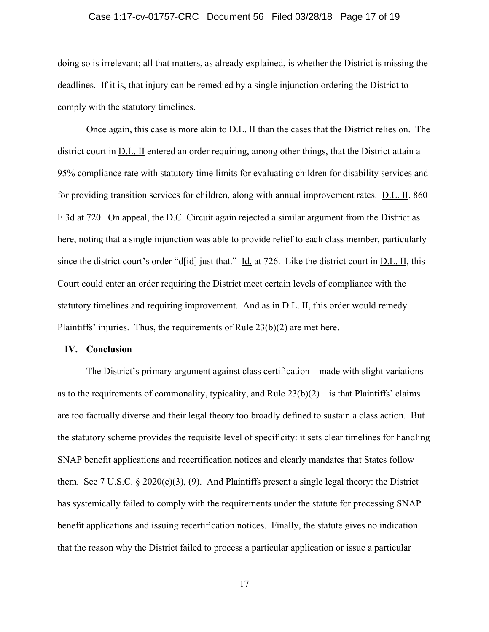#### Case 1:17-cv-01757-CRC Document 56 Filed 03/28/18 Page 17 of 19

doing so is irrelevant; all that matters, as already explained, is whether the District is missing the deadlines. If it is, that injury can be remedied by a single injunction ordering the District to comply with the statutory timelines.

Once again, this case is more akin to D.L. II than the cases that the District relies on. The district court in D.L. II entered an order requiring, among other things, that the District attain a 95% compliance rate with statutory time limits for evaluating children for disability services and for providing transition services for children, along with annual improvement rates. D.L. II, 860 F.3d at 720. On appeal, the D.C. Circuit again rejected a similar argument from the District as here, noting that a single injunction was able to provide relief to each class member, particularly since the district court's order "d[id] just that." Id. at 726. Like the district court in  $D.L.$  II, this Court could enter an order requiring the District meet certain levels of compliance with the statutory timelines and requiring improvement. And as in D.L. II, this order would remedy Plaintiffs' injuries. Thus, the requirements of Rule 23(b)(2) are met here.

#### **IV. Conclusion**

The District's primary argument against class certification—made with slight variations as to the requirements of commonality, typicality, and Rule  $23(b)(2)$ —is that Plaintiffs' claims are too factually diverse and their legal theory too broadly defined to sustain a class action. But the statutory scheme provides the requisite level of specificity: it sets clear timelines for handling SNAP benefit applications and recertification notices and clearly mandates that States follow them. See 7 U.S.C. § 2020(e)(3), (9). And Plaintiffs present a single legal theory: the District has systemically failed to comply with the requirements under the statute for processing SNAP benefit applications and issuing recertification notices. Finally, the statute gives no indication that the reason why the District failed to process a particular application or issue a particular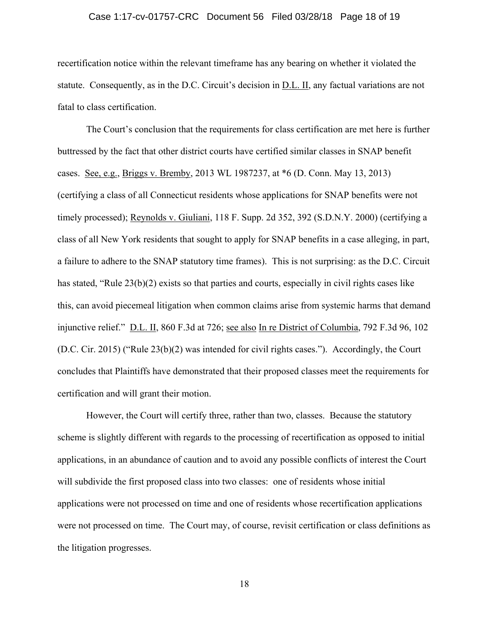#### Case 1:17-cv-01757-CRC Document 56 Filed 03/28/18 Page 18 of 19

recertification notice within the relevant timeframe has any bearing on whether it violated the statute. Consequently, as in the D.C. Circuit's decision in D.L. II, any factual variations are not fatal to class certification.

The Court's conclusion that the requirements for class certification are met here is further buttressed by the fact that other district courts have certified similar classes in SNAP benefit cases. See, e.g., Briggs v. Bremby, 2013 WL 1987237, at \*6 (D. Conn. May 13, 2013) (certifying a class of all Connecticut residents whose applications for SNAP benefits were not timely processed); Reynolds v. Giuliani, 118 F. Supp. 2d 352, 392 (S.D.N.Y. 2000) (certifying a class of all New York residents that sought to apply for SNAP benefits in a case alleging, in part, a failure to adhere to the SNAP statutory time frames). This is not surprising: as the D.C. Circuit has stated, "Rule 23(b)(2) exists so that parties and courts, especially in civil rights cases like this, can avoid piecemeal litigation when common claims arise from systemic harms that demand injunctive relief." D.L. II, 860 F.3d at 726; see also In re District of Columbia, 792 F.3d 96, 102 (D.C. Cir. 2015) ("Rule 23(b)(2) was intended for civil rights cases."). Accordingly, the Court concludes that Plaintiffs have demonstrated that their proposed classes meet the requirements for certification and will grant their motion.

However, the Court will certify three, rather than two, classes. Because the statutory scheme is slightly different with regards to the processing of recertification as opposed to initial applications, in an abundance of caution and to avoid any possible conflicts of interest the Court will subdivide the first proposed class into two classes: one of residents whose initial applications were not processed on time and one of residents whose recertification applications were not processed on time. The Court may, of course, revisit certification or class definitions as the litigation progresses.